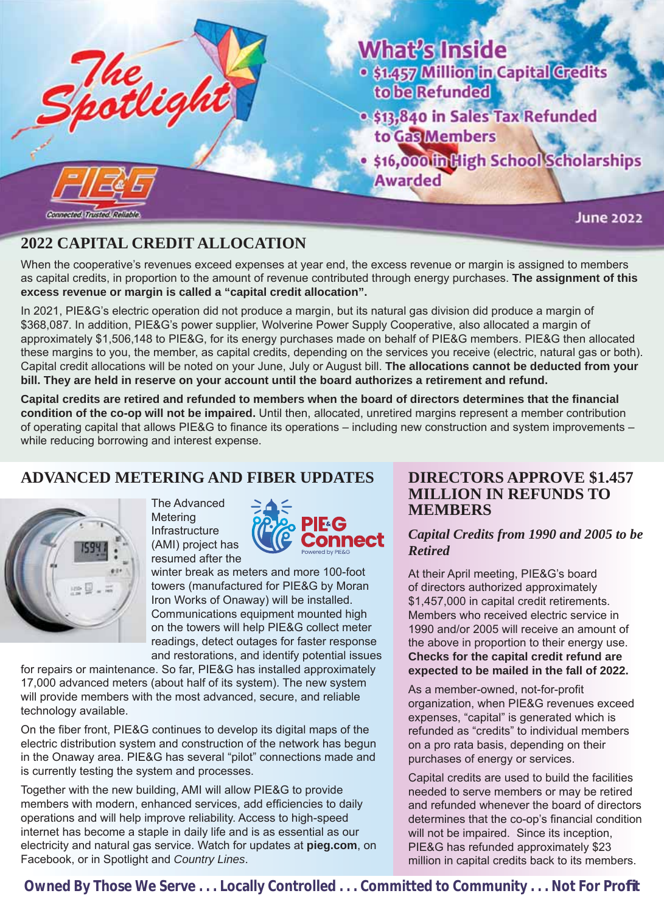



\$16,000 filligh School Scholarships **Awarded** 

**June 2022** 

# **2022 CAPITAL CREDIT ALLOCATION**

Connected, Trusted, Reliable

When the cooperative's revenues exceed expenses at year end, the excess revenue or margin is assigned to members as capital credits, in proportion to the amount of revenue contributed through energy purchases. **The assignment of this excess revenue or margin is called a "capital credit allocation".** 

In 2021, PIE&G's electric operation did not produce a margin, but its natural gas division did produce a margin of \$368,087. In addition, PIE&G's power supplier, Wolverine Power Supply Cooperative, also allocated a margin of approximately \$1,506,148 to PIE&G, for its energy purchases made on behalf of PIE&G members. PIE&G then allocated these margins to you, the member, as capital credits, depending on the services you receive (electric, natural gas or both). Capital credit allocations will be noted on your June, July or August bill. **The allocations cannot be deducted from your bill. They are held in reserve on your account until the board authorizes a retirement and refund.**

Capital credits are retired and refunded to members when the board of directors determines that the financial **condition of the co-op will not be impaired.** Until then, allocated, unretired margins represent a member contribution of operating capital that allows PIE&G to finance its operations – including new construction and system improvements – while reducing borrowing and interest expense.

# **ADVANCED METERING AND FIBER UPDATES**

![](_page_0_Picture_9.jpeg)

The Advanced **Metering** Infrastructure (AMI) project has resumed after the

![](_page_0_Picture_11.jpeg)

winter break as meters and more 100-foot towers (manufactured for PIE&G by Moran Iron Works of Onaway) will be installed. Communications equipment mounted high on the towers will help PIE&G collect meter readings, detect outages for faster response and restorations, and identify potential issues

for repairs or maintenance. So far, PIE&G has installed approximately 17,000 advanced meters (about half of its system). The new system will provide members with the most advanced, secure, and reliable technology available.

On the fiber front, PIE&G continues to develop its digital maps of the electric distribution system and construction of the network has begun in the Onaway area. PIE&G has several "pilot" connections made and is currently testing the system and processes.

Together with the new building, AMI will allow PIE&G to provide members with modern, enhanced services, add efficiencies to daily operations and will help improve reliability. Access to high-speed internet has become a staple in daily life and is as essential as our electricity and natural gas service. Watch for updates at **pieg.com**, on Facebook, or in Spotlight and *Country Lines*.

#### **DIRECTORS APPROVE \$1.457 MILLION IN REFUNDS TO MEMBERS**

#### *Capital Credits from 1990 and 2005 to be Retired*

At their April meeting, PIE&G's board of directors authorized approximately \$1,457,000 in capital credit retirements. Members who received electric service in 1990 and/or 2005 will receive an amount of the above in proportion to their energy use. **Checks for the capital credit refund are expected to be mailed in the fall of 2022.**

As a member-owned, not-for-profit organization, when PIE&G revenues exceed expenses, "capital" is generated which is refunded as "credits" to individual members on a pro rata basis, depending on their purchases of energy or services.

Capital credits are used to build the facilities needed to serve members or may be retired and refunded whenever the board of directors determines that the co-op's financial condition will not be impaired. Since its inception, PIE&G has refunded approximately \$23 million in capital credits back to its members.

 **Owned By Those We Serve . . . Locally Controlled . . . Committed to Community . . . Not For Profi t**